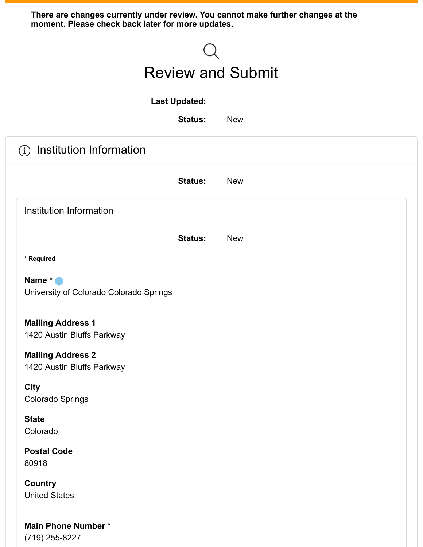**There are changes currently under review. You cannot make further changes at the moment. Please check back later for more updates.**

| <b>Review and Submit</b>                                   |            |  |  |  |
|------------------------------------------------------------|------------|--|--|--|
| <b>Last Updated:</b>                                       |            |  |  |  |
| <b>Status:</b>                                             | <b>New</b> |  |  |  |
| Institution Information<br>$\bf (i)$                       |            |  |  |  |
| <b>Status:</b>                                             | <b>New</b> |  |  |  |
| Institution Information                                    |            |  |  |  |
| <b>Status:</b>                                             | <b>New</b> |  |  |  |
| * Required                                                 |            |  |  |  |
| Name * <b>O</b><br>University of Colorado Colorado Springs |            |  |  |  |
| <b>Mailing Address 1</b><br>1420 Austin Bluffs Parkway     |            |  |  |  |
| <b>Mailing Address 2</b><br>1420 Austin Bluffs Parkway     |            |  |  |  |
| <b>City</b><br><b>Colorado Springs</b>                     |            |  |  |  |
| <b>State</b><br>Colorado                                   |            |  |  |  |
| <b>Postal Code</b><br>80918                                |            |  |  |  |
| <b>Country</b><br><b>United States</b>                     |            |  |  |  |
| <b>Main Phone Number*</b><br>(719) 255-8227                |            |  |  |  |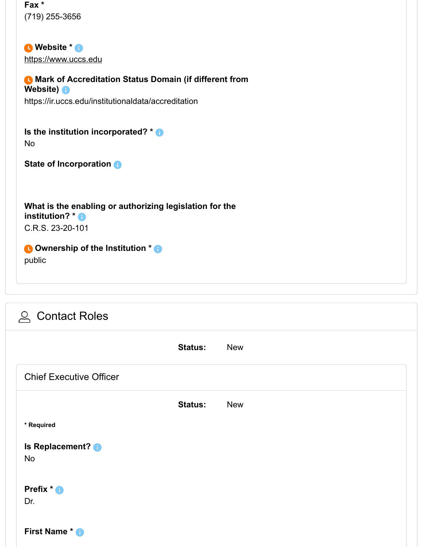**Fax \*** (719) 255-3656

**Website \*** [https://www.uccs.edu](https://www.uccs.edu/)

**Mark of Accreditation Status Domain (if different from Website)** https://ir.uccs.edu/institutionaldata/accreditation

**Is the institution incorporated? \*** No

**State of Incorporation**

**What is the enabling or authorizing legislation for the institution? \*** C.R.S. 23-20-101

**Ownership of the Institution \***

public

| <b>△ Contact Roles</b>         |                |            |
|--------------------------------|----------------|------------|
|                                | <b>Status:</b> | <b>New</b> |
| <b>Chief Executive Officer</b> |                |            |
|                                | <b>Status:</b> | <b>New</b> |
| * Required                     |                |            |
| Is Replacement? <b>O</b><br>No |                |            |
| Prefix * <b>D</b><br>Dr.       |                |            |
| First Name * <sup>1</sup>      |                |            |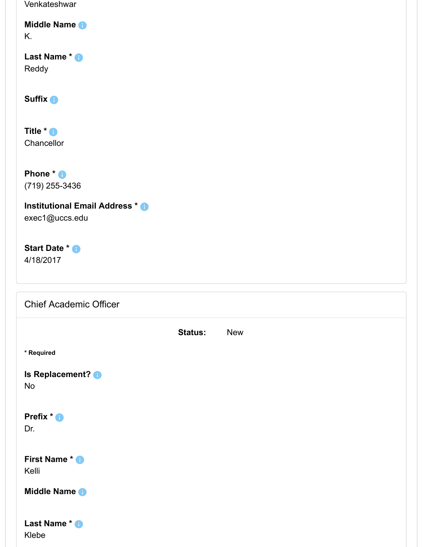**Status:** New Venkateshwar **Middle Name** K. **Last Name \*** Reddy **Suffix Title \* Chancellor Phone \*** (719) 255-3436 **Institutional Email Address \*** exec1@uccs.edu **Start Date \*** 4/18/2017 **\* Required Is Replacement?** No **Prefix \*** Dr. **First Name \*** Kelli **Middle Name Last Name \*** Klebe Chief Academic Officer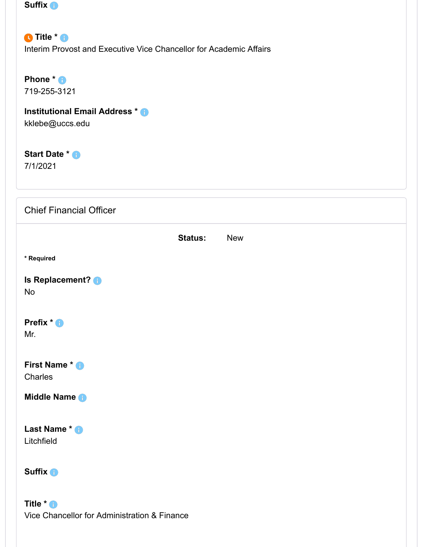| <b>Suffix O</b> |  |
|-----------------|--|
|                 |  |

**O** Title  $*$  **6** Interim Provost and Executive Vice Chancellor for Academic Affairs

**Phone \*** 719-255-3121

**Institutional Email Address \***

Vice Chancellor for Administration & Finance

kklebe@uccs.edu

**Start Date \*** 7/1/2021

| <b>Chief Financial Officer</b>       |                |            |
|--------------------------------------|----------------|------------|
|                                      | <b>Status:</b> | <b>New</b> |
| * Required                           |                |            |
| Is Replacement? <b>O</b><br>No       |                |            |
| Prefix * <sup>1</sup><br>Mr.         |                |            |
| First Name * <sup>1</sup><br>Charles |                |            |
| Middle Name +                        |                |            |
| Last Name * 8<br>Litchfield          |                |            |
| Suffix <b>O</b>                      |                |            |
| Title * <sup>O</sup>                 |                |            |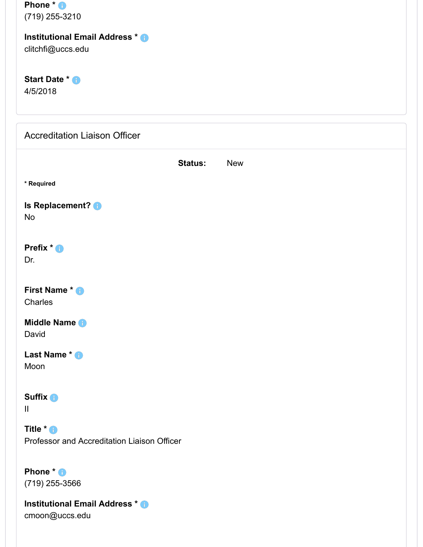| Phone $*$ $\bullet$ |
|---------------------|
| (719) 255-3210      |

#### **Institutional Email Address \***

clitchfi@uccs.edu

**Start Date \*** 4/5/2018

| <b>Accreditation Liaison Officer</b>                                |
|---------------------------------------------------------------------|
| <b>Status:</b><br><b>New</b>                                        |
| * Required                                                          |
| Is Replacement? <b>O</b><br>No                                      |
| Prefix * <sup>0</sup><br>Dr.                                        |
| First Name * +<br>Charles                                           |
| Middle Name +<br>David                                              |
| Last Name * <sup>8</sup><br>Moon                                    |
| <b>Suffix O</b><br>$\mathbf{II}$                                    |
| Title * <sup>O</sup><br>Professor and Accreditation Liaison Officer |
| Phone * <sup>0</sup><br>$(719)$ 255-3566                            |
| Institutional Email Address * 8                                     |

cmoon@uccs.edu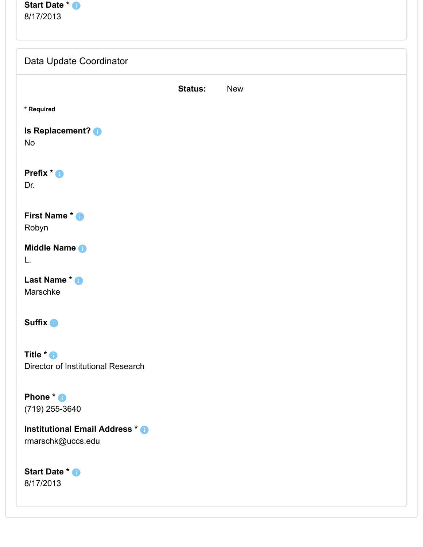| <b>Start Date * B</b> |  |
|-----------------------|--|
| 8/17/2013             |  |

| Data Update Coordinator                                         |                |            |
|-----------------------------------------------------------------|----------------|------------|
|                                                                 | <b>Status:</b> | <b>New</b> |
| * Required                                                      |                |            |
| Is Replacement? <b>O</b><br>No                                  |                |            |
| Prefix * <sup>0</sup><br>Dr.                                    |                |            |
| <b>First Name * +</b><br>Robyn                                  |                |            |
| Middle Name<br>L.                                               |                |            |
| Last Name * +<br>Marschke                                       |                |            |
| Suffix <b>O</b>                                                 |                |            |
| Title * <sup>O</sup><br>Director of Institutional Research      |                |            |
| Phone * <sup>1</sup><br>(719) 255-3640                          |                |            |
| Institutional Email Address * <sup>1</sup><br>rmarschk@uccs.edu |                |            |
| Start Date * <sup>8</sup><br>8/17/2013                          |                |            |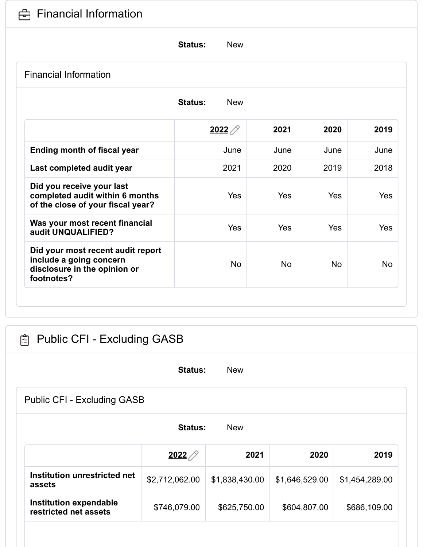

# **Status:** New **Status:** New Financial Information **[2022](https://canopy.hlcommission.org/members/form/?taskid=9922&QuestionSetId=1138&isApp=false&isReview=true&isRev=true&SurveyPageId=99&recid=2022) 2021 2020 2019 Ending month of fiscal year and in the set of the United States of Tune June 1 and States June 1 and June 1 and June 1 and June 1 and June 1 and June 1 and June 1 and June 1 and June 1 and June 1 and June 1 and June 1 a Last completed audit year**  $\vert$  2021 2020 2019 2018 **Did you receive your last completed audit within 6 months of the close of your fiscal year?** Yes Yes Yes Yes **Was your most recent financial audit UNQUALIFIED?** Yes Yes Yes Yes **Did your most recent audit report include a going concern disclosure in the opinion or footnotes?** No No No No

| 陶<br><b>Public CFI - Excluding GASB</b>                |                |                |                |                |  |
|--------------------------------------------------------|----------------|----------------|----------------|----------------|--|
|                                                        | <b>Status:</b> | <b>New</b>     |                |                |  |
| Public CFI - Excluding GASB                            |                |                |                |                |  |
| <b>Status:</b><br><b>New</b>                           |                |                |                |                |  |
|                                                        | 2022           | 2021           | 2020           | 2019           |  |
| Institution unrestricted net<br>assets                 | \$2,712,062.00 | \$1,838,430.00 | \$1,646,529.00 | \$1,454,289.00 |  |
| <b>Institution expendable</b><br>restricted net assets | \$746,079.00   | \$625,750.00   | \$604,807.00   | \$686,109.00   |  |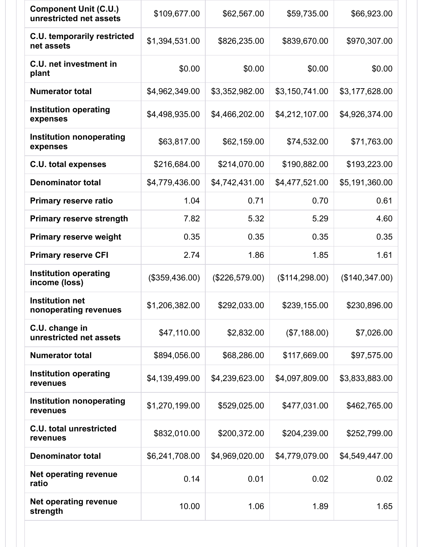| <b>Component Unit (C.U.)</b><br>unrestricted net assets | \$109,677.00   | \$62,567.00    | \$59,735.00    | \$66,923.00    |
|---------------------------------------------------------|----------------|----------------|----------------|----------------|
| <b>C.U. temporarily restricted</b><br>net assets        | \$1,394,531.00 | \$826,235.00   | \$839,670.00   | \$970,307.00   |
| <b>C.U. net investment in</b><br>plant                  | \$0.00         | \$0.00         | \$0.00         | \$0.00         |
| <b>Numerator total</b>                                  | \$4,962,349.00 | \$3,352,982.00 | \$3,150,741.00 | \$3,177,628.00 |
| <b>Institution operating</b><br>expenses                | \$4,498,935.00 | \$4,466,202.00 | \$4,212,107.00 | \$4,926,374.00 |
| <b>Institution nonoperating</b><br>expenses             | \$63,817.00    | \$62,159.00    | \$74,532.00    | \$71,763.00    |
| <b>C.U. total expenses</b>                              | \$216,684.00   | \$214,070.00   | \$190,882.00   | \$193,223.00   |
| <b>Denominator total</b>                                | \$4,779,436.00 | \$4,742,431.00 | \$4,477,521.00 | \$5,191,360.00 |
| <b>Primary reserve ratio</b>                            | 1.04           | 0.71           | 0.70           | 0.61           |
| <b>Primary reserve strength</b>                         | 7.82           | 5.32           | 5.29           | 4.60           |
| <b>Primary reserve weight</b>                           | 0.35           | 0.35           | 0.35           | 0.35           |
| <b>Primary reserve CFI</b>                              | 2.74           | 1.86           | 1.85           | 1.61           |
| <b>Institution operating</b><br>income (loss)           | (\$359,436.00) | (\$226,579.00) | (\$114,298.00) | (\$140,347.00) |
| <b>Institution net</b><br>nonoperating revenues         | \$1,206,382.00 | \$292,033.00   | \$239,155.00   | \$230,896.00   |
| C.U. change in<br>unrestricted net assets               | \$47,110.00    | \$2,832.00     | (\$7,188.00)   | \$7,026.00     |
| <b>Numerator total</b>                                  | \$894,056.00   | \$68,286.00    | \$117,669.00   | \$97,575.00    |
| <b>Institution operating</b><br>revenues                | \$4,139,499.00 | \$4,239,623.00 | \$4,097,809.00 | \$3,833,883.00 |
| <b>Institution nonoperating</b><br>revenues             | \$1,270,199.00 | \$529,025.00   | \$477,031.00   | \$462,765.00   |
| <b>C.U. total unrestricted</b><br>revenues              | \$832,010.00   | \$200,372.00   | \$204,239.00   | \$252,799.00   |
| <b>Denominator total</b>                                | \$6,241,708.00 | \$4,969,020.00 | \$4,779,079.00 | \$4,549,447.00 |
| <b>Net operating revenue</b><br>ratio                   | 0.14           | 0.01           | 0.02           | 0.02           |
| <b>Net operating revenue</b><br>strength                | 10.00          | 1.06           | 1.89           | 1.65           |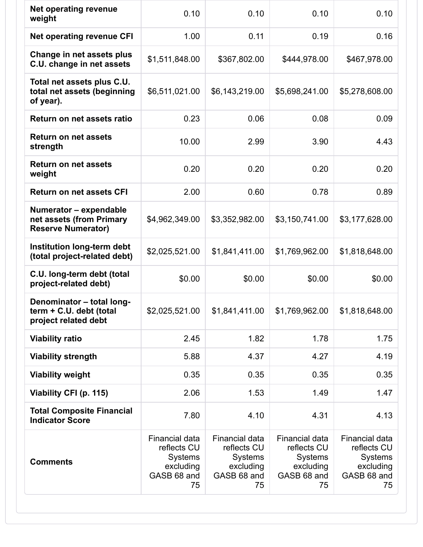| Net operating revenue<br>weight                                                 | 0.10                                                                                     | 0.10                                                                                     | 0.10                                                                              | 0.10                                                                                     |
|---------------------------------------------------------------------------------|------------------------------------------------------------------------------------------|------------------------------------------------------------------------------------------|-----------------------------------------------------------------------------------|------------------------------------------------------------------------------------------|
| <b>Net operating revenue CFI</b>                                                | 1.00                                                                                     | 0.11                                                                                     | 0.19                                                                              | 0.16                                                                                     |
| Change in net assets plus<br>C.U. change in net assets                          | \$1,511,848.00                                                                           | \$367,802.00                                                                             | \$444,978.00                                                                      | \$467,978.00                                                                             |
| Total net assets plus C.U.<br>total net assets (beginning<br>of year).          | \$6,511,021.00                                                                           | \$6,143,219.00                                                                           | \$5,698,241.00                                                                    | \$5,278,608.00                                                                           |
| Return on net assets ratio                                                      | 0.23                                                                                     | 0.06                                                                                     | 0.08                                                                              | 0.09                                                                                     |
| <b>Return on net assets</b><br>strength                                         | 10.00                                                                                    | 2.99                                                                                     | 3.90                                                                              | 4.43                                                                                     |
| <b>Return on net assets</b><br>weight                                           | 0.20                                                                                     | 0.20                                                                                     | 0.20                                                                              | 0.20                                                                                     |
| <b>Return on net assets CFI</b>                                                 | 2.00                                                                                     | 0.60                                                                                     | 0.78                                                                              | 0.89                                                                                     |
| Numerator - expendable<br>net assets (from Primary<br><b>Reserve Numerator)</b> | \$4,962,349.00                                                                           | \$3,352,982.00                                                                           | \$3,150,741.00                                                                    | \$3,177,628.00                                                                           |
| Institution long-term debt<br>(total project-related debt)                      | \$2,025,521.00                                                                           | \$1,841,411.00                                                                           | \$1,769,962.00                                                                    | \$1,818,648.00                                                                           |
| C.U. long-term debt (total<br>project-related debt)                             | \$0.00                                                                                   | \$0.00                                                                                   | \$0.00                                                                            | \$0.00                                                                                   |
| Denominator - total long-<br>term + C.U. debt (total<br>project related debt    | \$2,025,521.00                                                                           | \$1,841,411.00                                                                           | \$1,769,962.00                                                                    | \$1,818,648.00                                                                           |
| <b>Viability ratio</b>                                                          | 2.45                                                                                     | 1.82                                                                                     | 1.78                                                                              | 1.75                                                                                     |
| <b>Viability strength</b>                                                       | 5.88                                                                                     | 4.37                                                                                     | 4.27                                                                              | 4.19                                                                                     |
| <b>Viability weight</b>                                                         | 0.35                                                                                     | 0.35                                                                                     | 0.35                                                                              | 0.35                                                                                     |
| Viability CFI (p. 115)                                                          | 2.06                                                                                     | 1.53                                                                                     | 1.49                                                                              | 1.47                                                                                     |
| <b>Total Composite Financial</b><br><b>Indicator Score</b>                      | 7.80                                                                                     | 4.10                                                                                     | 4.31                                                                              | 4.13                                                                                     |
| <b>Comments</b>                                                                 | <b>Financial data</b><br>reflects CU<br><b>Systems</b><br>excluding<br>GASB 68 and<br>75 | <b>Financial data</b><br>reflects CU<br><b>Systems</b><br>excluding<br>GASB 68 and<br>75 | Financial data<br>reflects CU<br><b>Systems</b><br>excluding<br>GASB 68 and<br>75 | <b>Financial data</b><br>reflects CU<br><b>Systems</b><br>excluding<br>GASB 68 and<br>75 |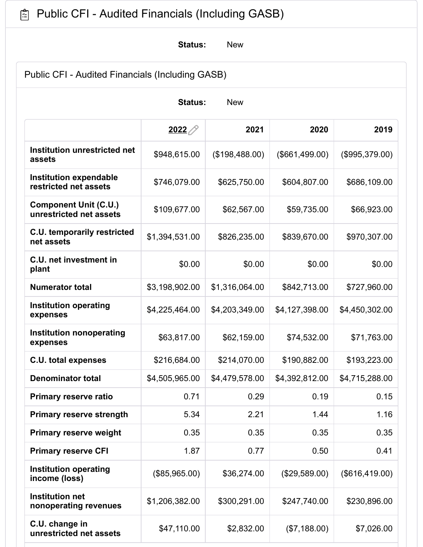## **图 Public CFI - Audited Financials (Including GASB)**

**Status:** New

Public CFI - Audited Financials (Including GASB)

| <b>New</b><br><b>Status:</b>                            |                |                |                |                |  |
|---------------------------------------------------------|----------------|----------------|----------------|----------------|--|
|                                                         | 2022           | 2021           | 2020           | 2019           |  |
| Institution unrestricted net<br>assets                  | \$948,615.00   | (\$198,488.00) | (\$661,499.00) | (\$995,379.00) |  |
| <b>Institution expendable</b><br>restricted net assets  | \$746,079.00   | \$625,750.00   | \$604,807.00   | \$686,109.00   |  |
| <b>Component Unit (C.U.)</b><br>unrestricted net assets | \$109,677.00   | \$62,567.00    | \$59,735.00    | \$66,923.00    |  |
| <b>C.U. temporarily restricted</b><br>net assets        | \$1,394,531.00 | \$826,235.00   | \$839,670.00   | \$970,307.00   |  |
| C.U. net investment in<br>plant                         | \$0.00         | \$0.00         | \$0.00         | \$0.00         |  |
| <b>Numerator total</b>                                  | \$3,198,902.00 | \$1,316,064.00 | \$842,713.00   | \$727,960.00   |  |
| <b>Institution operating</b><br>expenses                | \$4,225,464.00 | \$4,203,349.00 | \$4,127,398.00 | \$4,450,302.00 |  |
| <b>Institution nonoperating</b><br>expenses             | \$63,817.00    | \$62,159.00    | \$74,532.00    | \$71,763.00    |  |
| <b>C.U. total expenses</b>                              | \$216,684.00   | \$214,070.00   | \$190,882.00   | \$193,223.00   |  |
| <b>Denominator total</b>                                | \$4,505,965.00 | \$4,479,578.00 | \$4,392,812.00 | \$4,715,288.00 |  |
| <b>Primary reserve ratio</b>                            | 0.71           | 0.29           | 0.19           | 0.15           |  |
| <b>Primary reserve strength</b>                         | 5.34           | 2.21           | 1.44           | 1.16           |  |
| <b>Primary reserve weight</b>                           | 0.35           | 0.35           | 0.35           | 0.35           |  |
| <b>Primary reserve CFI</b>                              | 1.87           | 0.77           | 0.50           | 0.41           |  |
| <b>Institution operating</b><br>income (loss)           | (\$85,965.00)  | \$36,274.00    | (\$29,589.00)  | (\$616,419.00) |  |
| <b>Institution net</b><br>nonoperating revenues         | \$1,206,382.00 | \$300,291.00   | \$247,740.00   | \$230,896.00   |  |
| C.U. change in<br>unrestricted net assets               | \$47,110.00    | \$2,832.00     | (\$7,188.00)   | \$7,026.00     |  |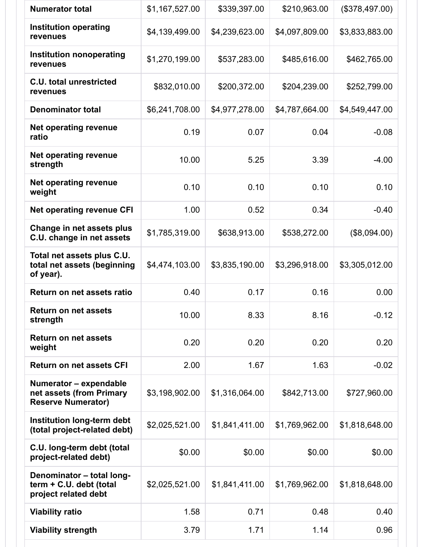| <b>Numerator total</b>                                                          | \$1,167,527.00 | \$339,397.00   | \$210,963.00   | (\$378,497.00) |
|---------------------------------------------------------------------------------|----------------|----------------|----------------|----------------|
| <b>Institution operating</b><br>revenues                                        | \$4,139,499.00 | \$4,239,623.00 | \$4,097,809.00 | \$3,833,883.00 |
| <b>Institution nonoperating</b><br>revenues                                     | \$1,270,199.00 | \$537,283.00   | \$485,616.00   | \$462,765.00   |
| <b>C.U. total unrestricted</b><br>revenues                                      | \$832,010.00   | \$200,372.00   | \$204,239.00   | \$252,799.00   |
| <b>Denominator total</b>                                                        | \$6,241,708.00 | \$4,977,278.00 | \$4,787,664.00 | \$4,549,447.00 |
| Net operating revenue<br>ratio                                                  | 0.19           | 0.07           | 0.04           | $-0.08$        |
| Net operating revenue<br>strength                                               | 10.00          | 5.25           | 3.39           | $-4.00$        |
| <b>Net operating revenue</b><br>weight                                          | 0.10           | 0.10           | 0.10           | 0.10           |
| <b>Net operating revenue CFI</b>                                                | 1.00           | 0.52           | 0.34           | $-0.40$        |
| Change in net assets plus<br>C.U. change in net assets                          | \$1,785,319.00 | \$638,913.00   | \$538,272.00   | (\$8,094.00)   |
| Total net assets plus C.U.<br>total net assets (beginning<br>of year).          | \$4,474,103.00 | \$3,835,190.00 | \$3,296,918.00 | \$3,305,012.00 |
| Return on net assets ratio                                                      | 0.40           | 0.17           | 0.16           | 0.00           |
| <b>Return on net assets</b><br>strength                                         | 10.00          | 8.33           | 8.16           | $-0.12$        |
| <b>Return on net assets</b><br>weight                                           | 0.20           | 0.20           | 0.20           | 0.20           |
| <b>Return on net assets CFI</b>                                                 | 2.00           | 1.67           | 1.63           | $-0.02$        |
| Numerator - expendable<br>net assets (from Primary<br><b>Reserve Numerator)</b> | \$3,198,902.00 | \$1,316,064.00 | \$842,713.00   | \$727,960.00   |
| Institution long-term debt<br>(total project-related debt)                      | \$2,025,521.00 | \$1,841,411.00 | \$1,769,962.00 | \$1,818,648.00 |
| C.U. long-term debt (total<br>project-related debt)                             | \$0.00         | \$0.00         | \$0.00         | \$0.00         |
| Denominator - total long-<br>term + C.U. debt (total<br>project related debt    | \$2,025,521.00 | \$1,841,411.00 | \$1,769,962.00 | \$1,818,648.00 |
| <b>Viability ratio</b>                                                          | 1.58           | 0.71           | 0.48           | 0.40           |
| <b>Viability strength</b>                                                       | 3.79           | 1.71           | 1.14           | 0.96           |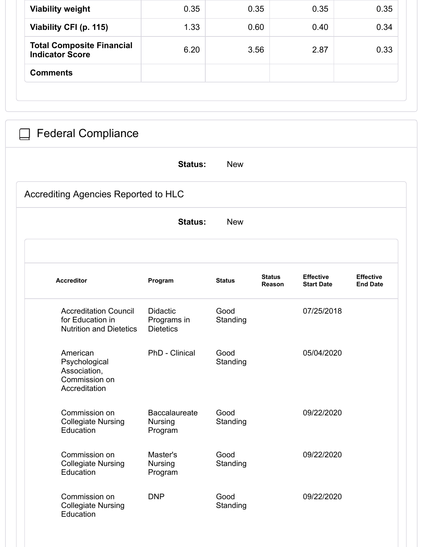| <b>Viability weight</b>                                                            | 0.35                                              |                  | 0.35                    | 0.35                                  | 0.35                                |
|------------------------------------------------------------------------------------|---------------------------------------------------|------------------|-------------------------|---------------------------------------|-------------------------------------|
| Viability CFI (p. 115)                                                             | 1.33                                              |                  | 0.60                    | 0.40                                  | 0.34                                |
| <b>Total Composite Financial</b><br><b>Indicator Score</b>                         | 6.20                                              |                  | 3.56                    | 2.87                                  | 0.33                                |
| <b>Comments</b>                                                                    |                                                   |                  |                         |                                       |                                     |
|                                                                                    |                                                   |                  |                         |                                       |                                     |
|                                                                                    |                                                   |                  |                         |                                       |                                     |
| <b>Federal Compliance</b>                                                          |                                                   |                  |                         |                                       |                                     |
|                                                                                    | <b>Status:</b>                                    | <b>New</b>       |                         |                                       |                                     |
|                                                                                    |                                                   |                  |                         |                                       |                                     |
| Accrediting Agencies Reported to HLC                                               |                                                   |                  |                         |                                       |                                     |
|                                                                                    | <b>Status:</b>                                    | <b>New</b>       |                         |                                       |                                     |
|                                                                                    |                                                   |                  |                         |                                       |                                     |
|                                                                                    |                                                   |                  |                         |                                       |                                     |
| <b>Accreditor</b>                                                                  | Program                                           | <b>Status</b>    | <b>Status</b><br>Reason | <b>Effective</b><br><b>Start Date</b> | <b>Effective</b><br><b>End Date</b> |
| <b>Accreditation Council</b><br>for Education in<br><b>Nutrition and Dietetics</b> | Didactic<br>Programs in<br><b>Dietetics</b>       | Good<br>Standing |                         | 07/25/2018                            |                                     |
| American<br>Psychological<br>Association,<br>Commission on<br>Accreditation        | PhD - Clinical                                    | Good<br>Standing |                         | 05/04/2020                            |                                     |
| Commission on<br><b>Collegiate Nursing</b><br>Education                            | <b>Baccalaureate</b><br><b>Nursing</b><br>Program | Good<br>Standing |                         | 09/22/2020                            |                                     |
| Commission on<br><b>Collegiate Nursing</b><br>Education                            | Master's<br><b>Nursing</b><br>Program             | Good<br>Standing |                         | 09/22/2020                            |                                     |
|                                                                                    |                                                   |                  |                         |                                       |                                     |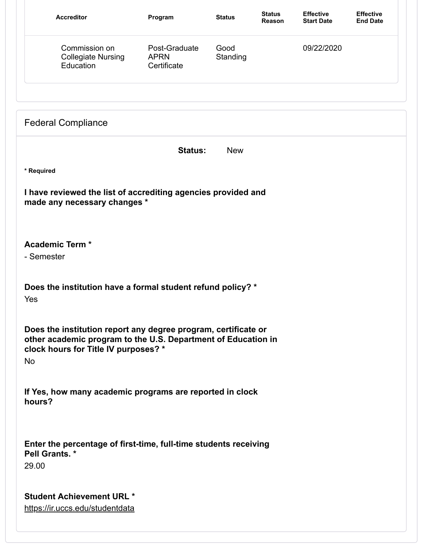| <b>Accreditor</b>                                                                             | Program                                     | <b>Status</b>    | <b>Status</b><br>Reason | <b>Effective</b><br><b>Start Date</b> | <b>Effective</b><br><b>End Date</b> |
|-----------------------------------------------------------------------------------------------|---------------------------------------------|------------------|-------------------------|---------------------------------------|-------------------------------------|
| Commission on<br><b>Collegiate Nursing</b><br>Education                                       | Post-Graduate<br><b>APRN</b><br>Certificate | Good<br>Standing |                         | 09/22/2020                            |                                     |
| <b>Federal Compliance</b>                                                                     |                                             |                  |                         |                                       |                                     |
|                                                                                               | <b>Status:</b>                              | <b>New</b>       |                         |                                       |                                     |
| * Required                                                                                    |                                             |                  |                         |                                       |                                     |
| I have reviewed the list of accrediting agencies provided and<br>made any necessary changes * |                                             |                  |                         |                                       |                                     |
|                                                                                               |                                             |                  |                         |                                       |                                     |
|                                                                                               |                                             |                  |                         |                                       |                                     |
| <b>Academic Term *</b><br>- Semester                                                          |                                             |                  |                         |                                       |                                     |
|                                                                                               |                                             |                  |                         |                                       |                                     |
| Does the institution have a formal student refund policy? *                                   |                                             |                  |                         |                                       |                                     |
| Yes                                                                                           |                                             |                  |                         |                                       |                                     |
| Does the institution report any degree program, certificate or                                |                                             |                  |                         |                                       |                                     |
| other academic program to the U.S. Department of Education in                                 |                                             |                  |                         |                                       |                                     |
| clock hours for Title IV purposes? *<br>No                                                    |                                             |                  |                         |                                       |                                     |
|                                                                                               |                                             |                  |                         |                                       |                                     |
| If Yes, how many academic programs are reported in clock<br>hours?                            |                                             |                  |                         |                                       |                                     |
|                                                                                               |                                             |                  |                         |                                       |                                     |
|                                                                                               |                                             |                  |                         |                                       |                                     |
| Enter the percentage of first-time, full-time students receiving<br>Pell Grants. *            |                                             |                  |                         |                                       |                                     |
| 29.00                                                                                         |                                             |                  |                         |                                       |                                     |
|                                                                                               |                                             |                  |                         |                                       |                                     |
| <b>Student Achievement URL *</b><br>https://ir.uccs.edu/studentdata                           |                                             |                  |                         |                                       |                                     |
|                                                                                               |                                             |                  |                         |                                       |                                     |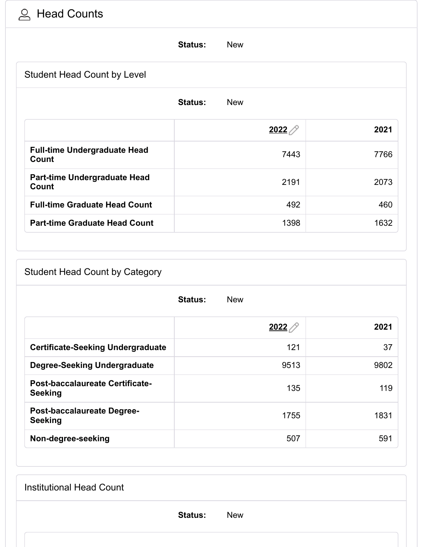## Head Counts

|                                                     | <b>Status:</b><br><b>New</b> |      |
|-----------------------------------------------------|------------------------------|------|
| <b>Student Head Count by Level</b>                  |                              |      |
|                                                     | <b>Status:</b><br><b>New</b> |      |
|                                                     | 2022                         | 2021 |
| <b>Full-time Undergraduate Head</b><br><b>Count</b> | 7443                         | 7766 |
| Part-time Undergraduate Head<br>Count               | 2191                         | 2073 |
| <b>Full-time Graduate Head Count</b>                | 492                          | 460  |
| <b>Part-time Graduate Head Count</b>                | 1398                         | 1632 |

#### Student Head Count by Category

|                                                     | <b>Status:</b><br><b>New</b> |      |
|-----------------------------------------------------|------------------------------|------|
|                                                     | 2022                         | 2021 |
| <b>Certificate-Seeking Undergraduate</b>            | 121                          | 37   |
| <b>Degree-Seeking Undergraduate</b>                 | 9513                         | 9802 |
| Post-baccalaureate Certificate-<br><b>Seeking</b>   | 135                          | 119  |
| <b>Post-baccalaureate Degree-</b><br><b>Seeking</b> | 1755                         | 1831 |
| Non-degree-seeking                                  | 507                          | 591  |

**Status:** New Institutional Head Count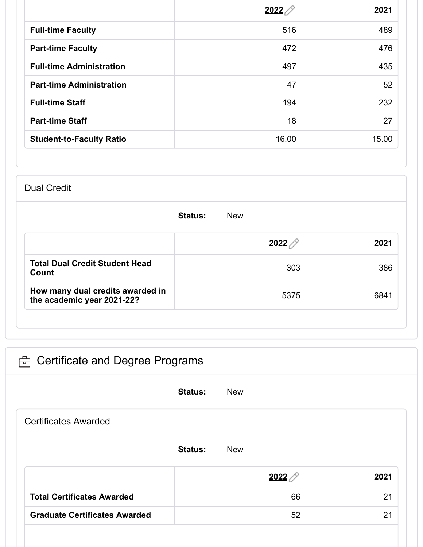|                                 | <u> 2022 </u> | 2021  |
|---------------------------------|---------------|-------|
| <b>Full-time Faculty</b>        | 516           | 489   |
| <b>Part-time Faculty</b>        | 472           | 476   |
| <b>Full-time Administration</b> | 497           | 435   |
| <b>Part-time Administration</b> | 47            | 52    |
| <b>Full-time Staff</b>          | 194           | 232   |
| <b>Part-time Staff</b>          | 18            | 27    |
| <b>Student-to-Faculty Ratio</b> | 16.00         | 15.00 |

#### Dual Credit

|                                                                | <b>Status:</b><br><b>New</b> |      |  |  |
|----------------------------------------------------------------|------------------------------|------|--|--|
|                                                                | 2022                         | 2021 |  |  |
| <b>Total Dual Credit Student Head</b><br>Count                 | 303                          | 386  |  |  |
| How many dual credits awarded in<br>the academic year 2021-22? | 5375                         | 6841 |  |  |

| ed Certificate and Degree Programs |                |             |      |
|------------------------------------|----------------|-------------|------|
|                                    | <b>Status:</b> | <b>New</b>  |      |
| <b>Certificates Awarded</b>        |                |             |      |
|                                    | <b>Status:</b> | <b>New</b>  |      |
|                                    |                | <u>2022</u> | 2021 |
| <b>Total Certificates Awarded</b>  |                | 66          | 21   |
|                                    |                |             |      |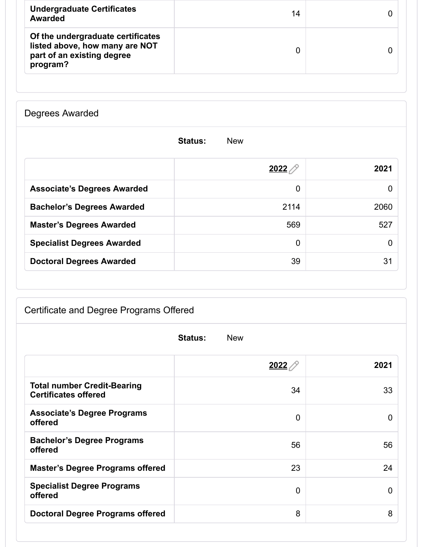| <b>Undergraduate Certificates</b><br>Awarded                                                                  | 14 |  |
|---------------------------------------------------------------------------------------------------------------|----|--|
| Of the undergraduate certificates<br>listed above, how many are NOT<br>part of an existing degree<br>program? |    |  |

Degrees Awarded

|                                    | <b>Status:</b><br><b>New</b> |      |
|------------------------------------|------------------------------|------|
|                                    | $2022$ $\oslash$             | 2021 |
| <b>Associate's Degrees Awarded</b> | 0                            | 0    |
| <b>Bachelor's Degrees Awarded</b>  | 2114                         | 2060 |
| <b>Master's Degrees Awarded</b>    | 569                          | 527  |
| <b>Specialist Degrees Awarded</b>  | $\mathbf 0$                  | 0    |
| <b>Doctoral Degrees Awarded</b>    | 39                           | 31   |

### Certificate and Degree Programs Offered

| <b>Status:</b><br><b>New</b>                                      |      |             |  |  |
|-------------------------------------------------------------------|------|-------------|--|--|
|                                                                   | 2022 | 2021        |  |  |
| <b>Total number Credit-Bearing</b><br><b>Certificates offered</b> | 34   | 33          |  |  |
| <b>Associate's Degree Programs</b><br>offered                     | 0    | 0           |  |  |
| <b>Bachelor's Degree Programs</b><br>offered                      | 56   | 56          |  |  |
| <b>Master's Degree Programs offered</b>                           | 23   | 24          |  |  |
| <b>Specialist Degree Programs</b><br>offered                      | 0    | $\mathbf 0$ |  |  |
| <b>Doctoral Degree Programs offered</b>                           | 8    | 8           |  |  |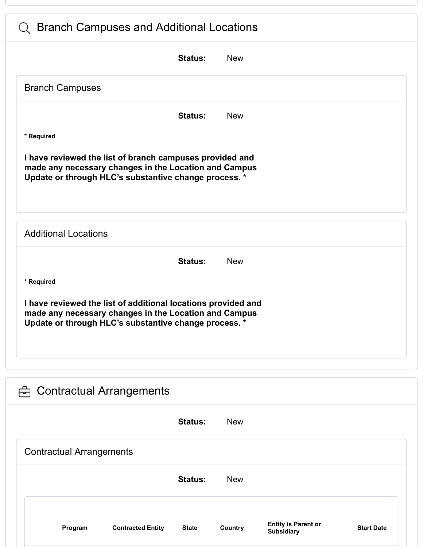| <b>Branch Campuses and Additional Locations</b><br>$\cup$                                                                                                                       |  |
|---------------------------------------------------------------------------------------------------------------------------------------------------------------------------------|--|
| <b>New</b><br><b>Status:</b>                                                                                                                                                    |  |
| <b>Branch Campuses</b>                                                                                                                                                          |  |
| <b>New</b><br><b>Status:</b>                                                                                                                                                    |  |
| * Required                                                                                                                                                                      |  |
| I have reviewed the list of branch campuses provided and<br>made any necessary changes in the Location and Campus<br>Update or through HLC's substantive change process. *      |  |
| <b>Additional Locations</b>                                                                                                                                                     |  |
| <b>Status:</b><br><b>New</b>                                                                                                                                                    |  |
| * Required                                                                                                                                                                      |  |
| I have reviewed the list of additional locations provided and<br>made any necessary changes in the Location and Campus<br>Update or through HLC's substantive change process. * |  |
| <b>Contractual Arrangements</b><br>尙                                                                                                                                            |  |
| <b>Status:</b><br><b>New</b>                                                                                                                                                    |  |
| <b>Contractual Arrangements</b>                                                                                                                                                 |  |
| <b>Status:</b><br><b>New</b>                                                                                                                                                    |  |
| <b>Entity is Parent or</b><br>Program<br><b>Contracted Entity</b><br>Country<br><b>Start Date</b><br><b>State</b><br><b>Subsidiary</b>                                          |  |